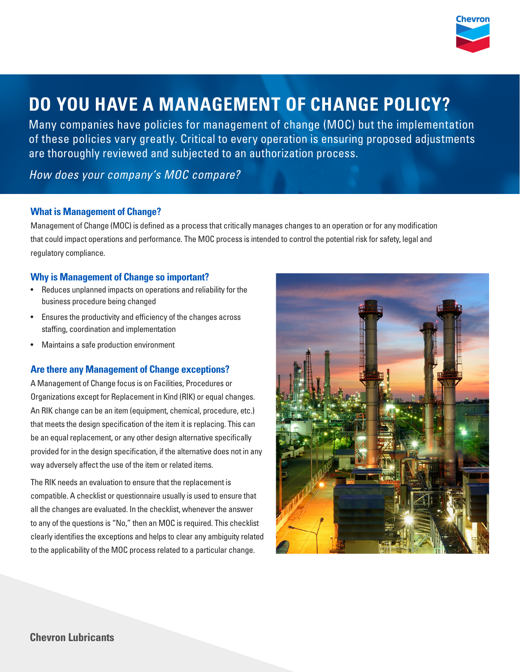

# **DO YOU HAVE A MANAGEMENT OF CHANGE POLICY?**

Many companies have policies for management of change (MOC) but the implementation of these policies vary greatly. Critical to every operation is ensuring proposed adjustments are thoroughly reviewed and subjected to an authorization process.

*How does your company's MOC compare?*

## **What is Management of Change?**

Management of Change (MOC) is defined as a process that critically manages changes to an operation or for any modification that could impact operations and performance. The MOC process is intended to control the potential risk for safety, legal and regulatory compliance.

## **Why is Management of Change so important?**

- Reduces unplanned impacts on operations and reliability for the business procedure being changed
- Ensures the productivity and efficiency of the changes across staffing, coordination and implementation
- Maintains a safe production environment

# **Are there any Management of Change exceptions?**

A Management of Change focus is on Facilities, Procedures or Organizations except for Replacement in Kind (RIK) or equal changes. An RIK change can be an item (equipment, chemical, procedure, etc.) that meets the design specification of the item it is replacing. This can be an equal replacement, or any other design alternative specifically provided for in the design specification, if the alternative does not in any way adversely affect the use of the item or related items.

The RIK needs an evaluation to ensure that the replacement is compatible. A checklist or questionnaire usually is used to ensure that all the changes are evaluated. In the checklist, whenever the answer to any of the questions is "No," then an MOC is required. This checklist clearly identifies the exceptions and helps to clear any ambiguity related to the applicability of the MOC process related to a particular change.